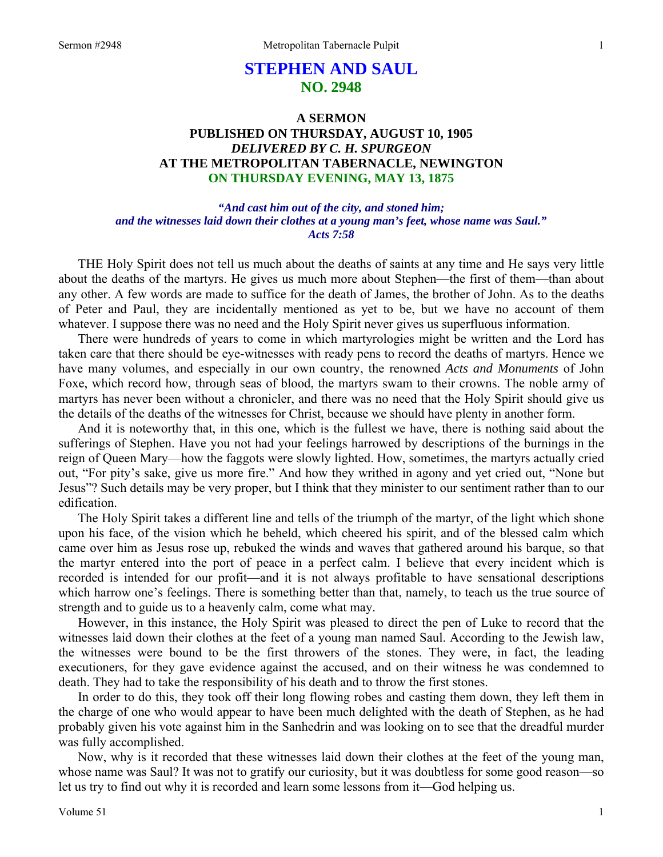# **STEPHEN AND SAUL NO. 2948**

## **A SERMON PUBLISHED ON THURSDAY, AUGUST 10, 1905**  *DELIVERED BY C. H. SPURGEON*  **AT THE METROPOLITAN TABERNACLE, NEWINGTON ON THURSDAY EVENING, MAY 13, 1875**

*"And cast him out of the city, and stoned him; and the witnesses laid down their clothes at a young man's feet, whose name was Saul." Acts 7:58* 

THE Holy Spirit does not tell us much about the deaths of saints at any time and He says very little about the deaths of the martyrs. He gives us much more about Stephen—the first of them—than about any other. A few words are made to suffice for the death of James, the brother of John. As to the deaths of Peter and Paul, they are incidentally mentioned as yet to be, but we have no account of them whatever. I suppose there was no need and the Holy Spirit never gives us superfluous information.

 There were hundreds of years to come in which martyrologies might be written and the Lord has taken care that there should be eye-witnesses with ready pens to record the deaths of martyrs. Hence we have many volumes, and especially in our own country, the renowned *Acts and Monuments* of John Foxe, which record how, through seas of blood, the martyrs swam to their crowns. The noble army of martyrs has never been without a chronicler, and there was no need that the Holy Spirit should give us the details of the deaths of the witnesses for Christ, because we should have plenty in another form.

 And it is noteworthy that, in this one, which is the fullest we have, there is nothing said about the sufferings of Stephen. Have you not had your feelings harrowed by descriptions of the burnings in the reign of Queen Mary—how the faggots were slowly lighted. How, sometimes, the martyrs actually cried out, "For pity's sake, give us more fire." And how they writhed in agony and yet cried out, "None but Jesus"? Such details may be very proper, but I think that they minister to our sentiment rather than to our edification.

 The Holy Spirit takes a different line and tells of the triumph of the martyr, of the light which shone upon his face, of the vision which he beheld, which cheered his spirit, and of the blessed calm which came over him as Jesus rose up, rebuked the winds and waves that gathered around his barque, so that the martyr entered into the port of peace in a perfect calm. I believe that every incident which is recorded is intended for our profit—and it is not always profitable to have sensational descriptions which harrow one's feelings. There is something better than that, namely, to teach us the true source of strength and to guide us to a heavenly calm, come what may.

 However, in this instance, the Holy Spirit was pleased to direct the pen of Luke to record that the witnesses laid down their clothes at the feet of a young man named Saul. According to the Jewish law, the witnesses were bound to be the first throwers of the stones. They were, in fact, the leading executioners, for they gave evidence against the accused, and on their witness he was condemned to death. They had to take the responsibility of his death and to throw the first stones.

 In order to do this, they took off their long flowing robes and casting them down, they left them in the charge of one who would appear to have been much delighted with the death of Stephen, as he had probably given his vote against him in the Sanhedrin and was looking on to see that the dreadful murder was fully accomplished.

 Now, why is it recorded that these witnesses laid down their clothes at the feet of the young man, whose name was Saul? It was not to gratify our curiosity, but it was doubtless for some good reason—so let us try to find out why it is recorded and learn some lessons from it—God helping us.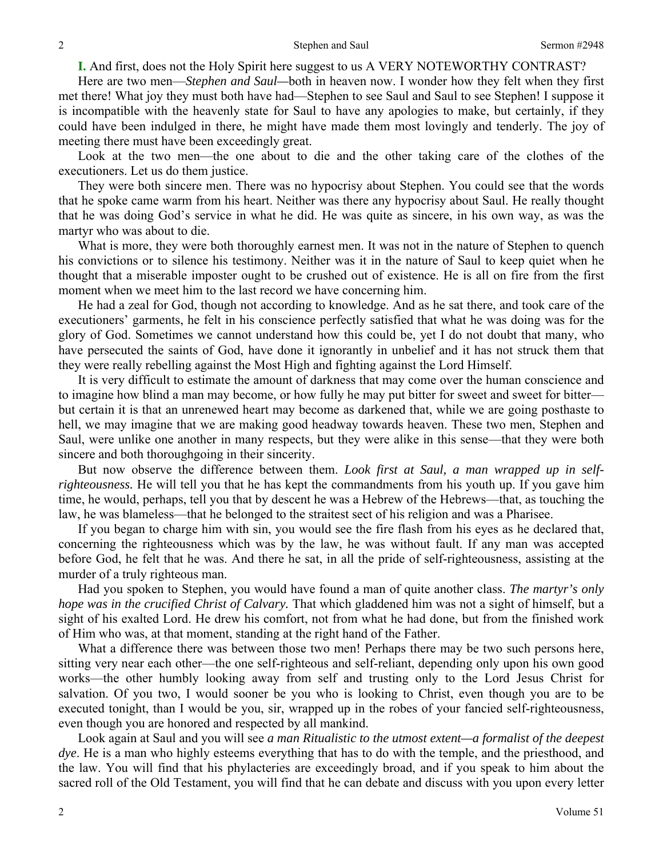**I.** And first, does not the Holy Spirit here suggest to us A VERY NOTEWORTHY CONTRAST?

 Here are two men—*Stephen and Saul—*both in heaven now. I wonder how they felt when they first met there! What joy they must both have had—Stephen to see Saul and Saul to see Stephen! I suppose it is incompatible with the heavenly state for Saul to have any apologies to make, but certainly, if they could have been indulged in there, he might have made them most lovingly and tenderly. The joy of meeting there must have been exceedingly great.

 Look at the two men—the one about to die and the other taking care of the clothes of the executioners. Let us do them justice.

 They were both sincere men. There was no hypocrisy about Stephen. You could see that the words that he spoke came warm from his heart. Neither was there any hypocrisy about Saul. He really thought that he was doing God's service in what he did. He was quite as sincere, in his own way, as was the martyr who was about to die.

What is more, they were both thoroughly earnest men. It was not in the nature of Stephen to quench his convictions or to silence his testimony. Neither was it in the nature of Saul to keep quiet when he thought that a miserable imposter ought to be crushed out of existence. He is all on fire from the first moment when we meet him to the last record we have concerning him.

 He had a zeal for God, though not according to knowledge. And as he sat there, and took care of the executioners' garments, he felt in his conscience perfectly satisfied that what he was doing was for the glory of God. Sometimes we cannot understand how this could be, yet I do not doubt that many, who have persecuted the saints of God, have done it ignorantly in unbelief and it has not struck them that they were really rebelling against the Most High and fighting against the Lord Himself.

 It is very difficult to estimate the amount of darkness that may come over the human conscience and to imagine how blind a man may become, or how fully he may put bitter for sweet and sweet for bitter but certain it is that an unrenewed heart may become as darkened that, while we are going posthaste to hell, we may imagine that we are making good headway towards heaven. These two men, Stephen and Saul, were unlike one another in many respects, but they were alike in this sense—that they were both sincere and both thoroughgoing in their sincerity.

 But now observe the difference between them. *Look first at Saul, a man wrapped up in selfrighteousness.* He will tell you that he has kept the commandments from his youth up. If you gave him time, he would, perhaps, tell you that by descent he was a Hebrew of the Hebrews—that, as touching the law, he was blameless—that he belonged to the straitest sect of his religion and was a Pharisee.

 If you began to charge him with sin, you would see the fire flash from his eyes as he declared that, concerning the righteousness which was by the law, he was without fault. If any man was accepted before God, he felt that he was. And there he sat, in all the pride of self-righteousness, assisting at the murder of a truly righteous man.

 Had you spoken to Stephen, you would have found a man of quite another class. *The martyr's only hope was in the crucified Christ of Calvary.* That which gladdened him was not a sight of himself, but a sight of his exalted Lord. He drew his comfort, not from what he had done, but from the finished work of Him who was, at that moment, standing at the right hand of the Father.

 What a difference there was between those two men! Perhaps there may be two such persons here, sitting very near each other—the one self-righteous and self-reliant, depending only upon his own good works—the other humbly looking away from self and trusting only to the Lord Jesus Christ for salvation. Of you two, I would sooner be you who is looking to Christ, even though you are to be executed tonight, than I would be you, sir, wrapped up in the robes of your fancied self-righteousness, even though you are honored and respected by all mankind.

 Look again at Saul and you will see *a man Ritualistic to the utmost extent—a formalist of the deepest dye.* He is a man who highly esteems everything that has to do with the temple, and the priesthood, and the law. You will find that his phylacteries are exceedingly broad, and if you speak to him about the sacred roll of the Old Testament, you will find that he can debate and discuss with you upon every letter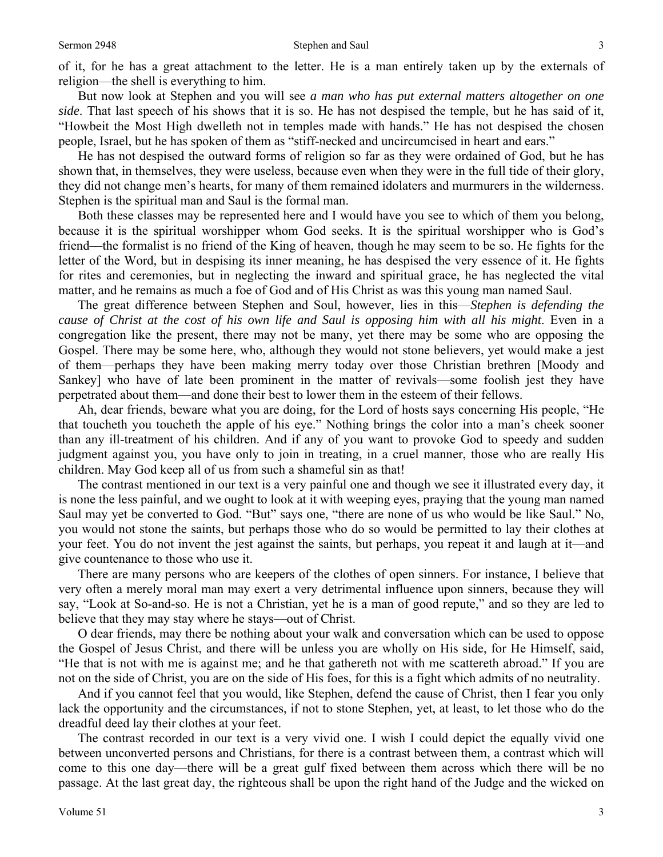But now look at Stephen and you will see *a man who has put external matters altogether on one side*. That last speech of his shows that it is so. He has not despised the temple, but he has said of it, "Howbeit the Most High dwelleth not in temples made with hands." He has not despised the chosen people, Israel, but he has spoken of them as "stiff-necked and uncircumcised in heart and ears."

 He has not despised the outward forms of religion so far as they were ordained of God, but he has shown that, in themselves, they were useless, because even when they were in the full tide of their glory, they did not change men's hearts, for many of them remained idolaters and murmurers in the wilderness. Stephen is the spiritual man and Saul is the formal man.

 Both these classes may be represented here and I would have you see to which of them you belong, because it is the spiritual worshipper whom God seeks. It is the spiritual worshipper who is God's friend—the formalist is no friend of the King of heaven, though he may seem to be so. He fights for the letter of the Word, but in despising its inner meaning, he has despised the very essence of it. He fights for rites and ceremonies, but in neglecting the inward and spiritual grace, he has neglected the vital matter, and he remains as much a foe of God and of His Christ as was this young man named Saul.

 The great difference between Stephen and Soul, however, lies in this—*Stephen is defending the cause of Christ at the cost of his own life and Saul is opposing him with all his might*. Even in a congregation like the present, there may not be many, yet there may be some who are opposing the Gospel. There may be some here, who, although they would not stone believers, yet would make a jest of them—perhaps they have been making merry today over those Christian brethren [Moody and Sankey] who have of late been prominent in the matter of revivals—some foolish jest they have perpetrated about them—and done their best to lower them in the esteem of their fellows.

 Ah, dear friends, beware what you are doing, for the Lord of hosts says concerning His people, "He that toucheth you toucheth the apple of his eye." Nothing brings the color into a man's cheek sooner than any ill-treatment of his children. And if any of you want to provoke God to speedy and sudden judgment against you, you have only to join in treating, in a cruel manner, those who are really His children. May God keep all of us from such a shameful sin as that!

 The contrast mentioned in our text is a very painful one and though we see it illustrated every day, it is none the less painful, and we ought to look at it with weeping eyes, praying that the young man named Saul may yet be converted to God. "But" says one, "there are none of us who would be like Saul." No, you would not stone the saints, but perhaps those who do so would be permitted to lay their clothes at your feet. You do not invent the jest against the saints, but perhaps, you repeat it and laugh at it—and give countenance to those who use it.

 There are many persons who are keepers of the clothes of open sinners. For instance, I believe that very often a merely moral man may exert a very detrimental influence upon sinners, because they will say, "Look at So-and-so. He is not a Christian, yet he is a man of good repute," and so they are led to believe that they may stay where he stays—out of Christ.

 O dear friends, may there be nothing about your walk and conversation which can be used to oppose the Gospel of Jesus Christ, and there will be unless you are wholly on His side, for He Himself, said, "He that is not with me is against me; and he that gathereth not with me scattereth abroad." If you are not on the side of Christ, you are on the side of His foes, for this is a fight which admits of no neutrality.

 And if you cannot feel that you would, like Stephen, defend the cause of Christ, then I fear you only lack the opportunity and the circumstances, if not to stone Stephen, yet, at least, to let those who do the dreadful deed lay their clothes at your feet.

 The contrast recorded in our text is a very vivid one. I wish I could depict the equally vivid one between unconverted persons and Christians, for there is a contrast between them, a contrast which will come to this one day—there will be a great gulf fixed between them across which there will be no passage. At the last great day, the righteous shall be upon the right hand of the Judge and the wicked on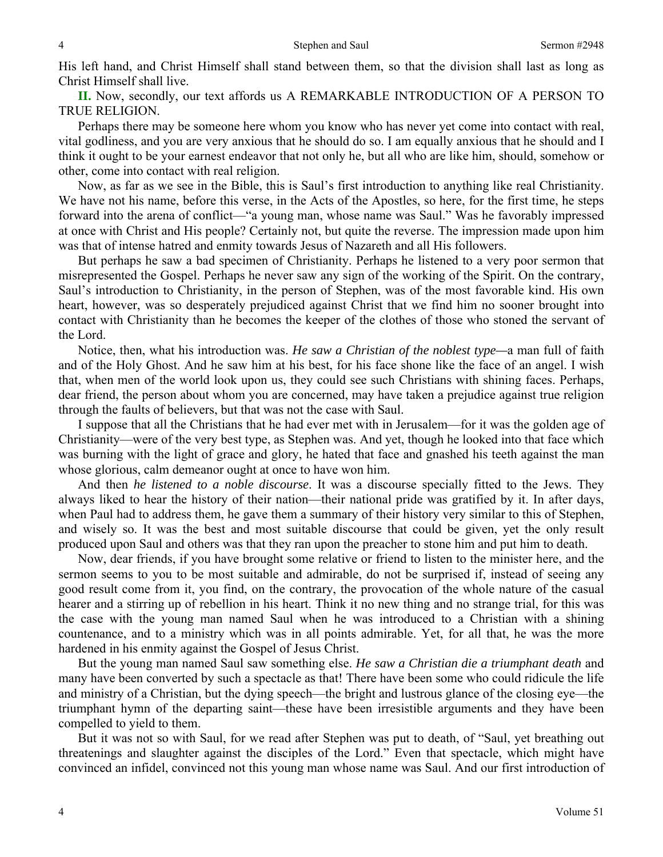His left hand, and Christ Himself shall stand between them, so that the division shall last as long as Christ Himself shall live.

**II.** Now, secondly, our text affords us A REMARKABLE INTRODUCTION OF A PERSON TO TRUE RELIGION.

 Perhaps there may be someone here whom you know who has never yet come into contact with real, vital godliness, and you are very anxious that he should do so. I am equally anxious that he should and I think it ought to be your earnest endeavor that not only he, but all who are like him, should, somehow or other, come into contact with real religion.

 Now, as far as we see in the Bible, this is Saul's first introduction to anything like real Christianity. We have not his name, before this verse, in the Acts of the Apostles, so here, for the first time, he steps forward into the arena of conflict—"a young man, whose name was Saul." Was he favorably impressed at once with Christ and His people? Certainly not, but quite the reverse. The impression made upon him was that of intense hatred and enmity towards Jesus of Nazareth and all His followers.

 But perhaps he saw a bad specimen of Christianity. Perhaps he listened to a very poor sermon that misrepresented the Gospel. Perhaps he never saw any sign of the working of the Spirit. On the contrary, Saul's introduction to Christianity, in the person of Stephen, was of the most favorable kind. His own heart, however, was so desperately prejudiced against Christ that we find him no sooner brought into contact with Christianity than he becomes the keeper of the clothes of those who stoned the servant of the Lord.

 Notice, then, what his introduction was. *He saw a Christian of the noblest type—*a man full of faith and of the Holy Ghost. And he saw him at his best, for his face shone like the face of an angel. I wish that, when men of the world look upon us, they could see such Christians with shining faces. Perhaps, dear friend, the person about whom you are concerned, may have taken a prejudice against true religion through the faults of believers, but that was not the case with Saul.

 I suppose that all the Christians that he had ever met with in Jerusalem—for it was the golden age of Christianity—were of the very best type, as Stephen was. And yet, though he looked into that face which was burning with the light of grace and glory, he hated that face and gnashed his teeth against the man whose glorious, calm demeanor ought at once to have won him.

 And then *he listened to a noble discourse*. It was a discourse specially fitted to the Jews. They always liked to hear the history of their nation—their national pride was gratified by it. In after days, when Paul had to address them, he gave them a summary of their history very similar to this of Stephen, and wisely so. It was the best and most suitable discourse that could be given, yet the only result produced upon Saul and others was that they ran upon the preacher to stone him and put him to death.

 Now, dear friends, if you have brought some relative or friend to listen to the minister here, and the sermon seems to you to be most suitable and admirable, do not be surprised if, instead of seeing any good result come from it, you find, on the contrary, the provocation of the whole nature of the casual hearer and a stirring up of rebellion in his heart. Think it no new thing and no strange trial, for this was the case with the young man named Saul when he was introduced to a Christian with a shining countenance, and to a ministry which was in all points admirable. Yet, for all that, he was the more hardened in his enmity against the Gospel of Jesus Christ.

 But the young man named Saul saw something else. *He saw a Christian die a triumphant death* and many have been converted by such a spectacle as that! There have been some who could ridicule the life and ministry of a Christian, but the dying speech—the bright and lustrous glance of the closing eye—the triumphant hymn of the departing saint—these have been irresistible arguments and they have been compelled to yield to them.

 But it was not so with Saul, for we read after Stephen was put to death, of "Saul, yet breathing out threatenings and slaughter against the disciples of the Lord." Even that spectacle, which might have convinced an infidel, convinced not this young man whose name was Saul. And our first introduction of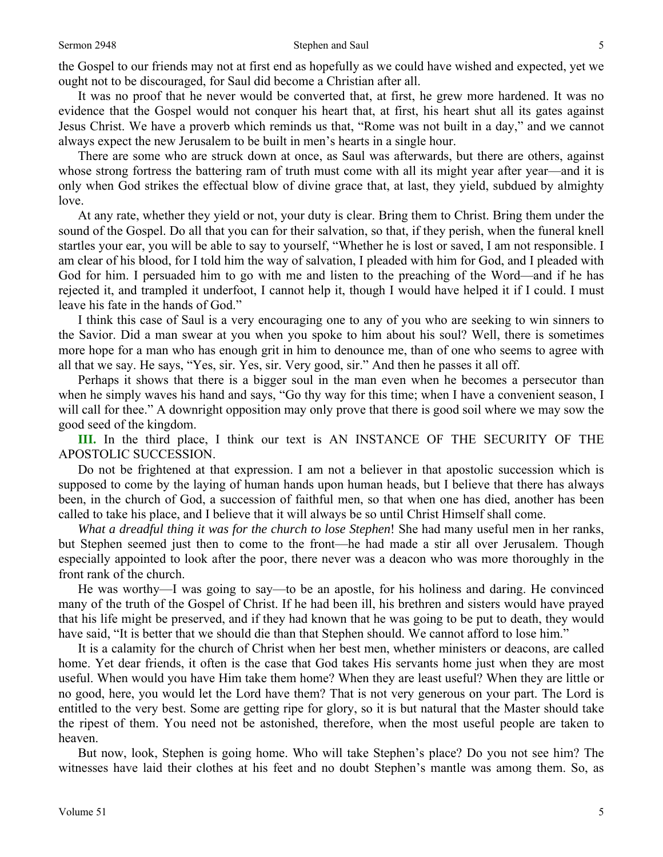the Gospel to our friends may not at first end as hopefully as we could have wished and expected, yet we ought not to be discouraged, for Saul did become a Christian after all.

 It was no proof that he never would be converted that, at first, he grew more hardened. It was no evidence that the Gospel would not conquer his heart that, at first, his heart shut all its gates against Jesus Christ. We have a proverb which reminds us that, "Rome was not built in a day," and we cannot always expect the new Jerusalem to be built in men's hearts in a single hour.

 There are some who are struck down at once, as Saul was afterwards, but there are others, against whose strong fortress the battering ram of truth must come with all its might year after year—and it is only when God strikes the effectual blow of divine grace that, at last, they yield, subdued by almighty love.

 At any rate, whether they yield or not, your duty is clear. Bring them to Christ. Bring them under the sound of the Gospel. Do all that you can for their salvation, so that, if they perish, when the funeral knell startles your ear, you will be able to say to yourself, "Whether he is lost or saved, I am not responsible. I am clear of his blood, for I told him the way of salvation, I pleaded with him for God, and I pleaded with God for him. I persuaded him to go with me and listen to the preaching of the Word—and if he has rejected it, and trampled it underfoot, I cannot help it, though I would have helped it if I could. I must leave his fate in the hands of God."

 I think this case of Saul is a very encouraging one to any of you who are seeking to win sinners to the Savior. Did a man swear at you when you spoke to him about his soul? Well, there is sometimes more hope for a man who has enough grit in him to denounce me, than of one who seems to agree with all that we say. He says, "Yes, sir. Yes, sir. Very good, sir." And then he passes it all off.

 Perhaps it shows that there is a bigger soul in the man even when he becomes a persecutor than when he simply waves his hand and says, "Go thy way for this time; when I have a convenient season, I will call for thee." A downright opposition may only prove that there is good soil where we may sow the good seed of the kingdom.

**III.** In the third place, I think our text is AN INSTANCE OF THE SECURITY OF THE APOSTOLIC SUCCESSION.

 Do not be frightened at that expression. I am not a believer in that apostolic succession which is supposed to come by the laying of human hands upon human heads, but I believe that there has always been, in the church of God, a succession of faithful men, so that when one has died, another has been called to take his place, and I believe that it will always be so until Christ Himself shall come.

*What a dreadful thing it was for the church to lose Stephen*! She had many useful men in her ranks, but Stephen seemed just then to come to the front—he had made a stir all over Jerusalem. Though especially appointed to look after the poor, there never was a deacon who was more thoroughly in the front rank of the church.

 He was worthy—I was going to say—to be an apostle, for his holiness and daring. He convinced many of the truth of the Gospel of Christ. If he had been ill, his brethren and sisters would have prayed that his life might be preserved, and if they had known that he was going to be put to death, they would have said, "It is better that we should die than that Stephen should. We cannot afford to lose him."

 It is a calamity for the church of Christ when her best men, whether ministers or deacons, are called home. Yet dear friends, it often is the case that God takes His servants home just when they are most useful. When would you have Him take them home? When they are least useful? When they are little or no good, here, you would let the Lord have them? That is not very generous on your part. The Lord is entitled to the very best. Some are getting ripe for glory, so it is but natural that the Master should take the ripest of them. You need not be astonished, therefore, when the most useful people are taken to heaven.

 But now, look, Stephen is going home. Who will take Stephen's place? Do you not see him? The witnesses have laid their clothes at his feet and no doubt Stephen's mantle was among them. So, as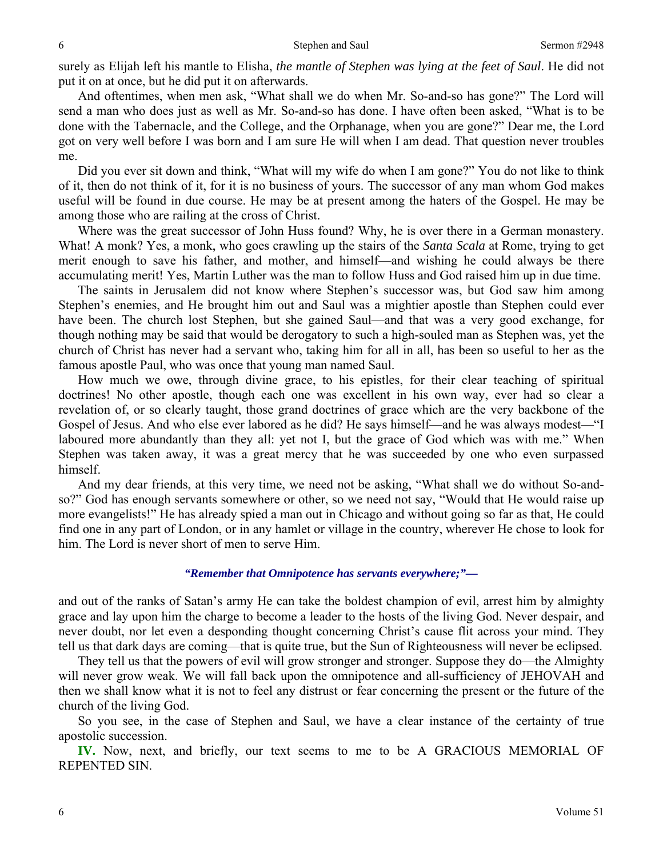surely as Elijah left his mantle to Elisha, *the mantle of Stephen was lying at the feet of Saul*. He did not put it on at once, but he did put it on afterwards.

 And oftentimes, when men ask, "What shall we do when Mr. So-and-so has gone?" The Lord will send a man who does just as well as Mr. So-and-so has done. I have often been asked, "What is to be done with the Tabernacle, and the College, and the Orphanage, when you are gone?" Dear me, the Lord got on very well before I was born and I am sure He will when I am dead. That question never troubles me.

 Did you ever sit down and think, "What will my wife do when I am gone?" You do not like to think of it, then do not think of it, for it is no business of yours. The successor of any man whom God makes useful will be found in due course. He may be at present among the haters of the Gospel. He may be among those who are railing at the cross of Christ.

 Where was the great successor of John Huss found? Why, he is over there in a German monastery. What! A monk? Yes, a monk, who goes crawling up the stairs of the *Santa Scala* at Rome, trying to get merit enough to save his father, and mother, and himself—and wishing he could always be there accumulating merit! Yes, Martin Luther was the man to follow Huss and God raised him up in due time.

 The saints in Jerusalem did not know where Stephen's successor was, but God saw him among Stephen's enemies, and He brought him out and Saul was a mightier apostle than Stephen could ever have been. The church lost Stephen, but she gained Saul—and that was a very good exchange, for though nothing may be said that would be derogatory to such a high-souled man as Stephen was, yet the church of Christ has never had a servant who, taking him for all in all, has been so useful to her as the famous apostle Paul, who was once that young man named Saul.

 How much we owe, through divine grace, to his epistles, for their clear teaching of spiritual doctrines! No other apostle, though each one was excellent in his own way, ever had so clear a revelation of, or so clearly taught, those grand doctrines of grace which are the very backbone of the Gospel of Jesus. And who else ever labored as he did? He says himself—and he was always modest—"I laboured more abundantly than they all: yet not I, but the grace of God which was with me." When Stephen was taken away, it was a great mercy that he was succeeded by one who even surpassed himself.

 And my dear friends, at this very time, we need not be asking, "What shall we do without So-andso?" God has enough servants somewhere or other, so we need not say, "Would that He would raise up more evangelists!" He has already spied a man out in Chicago and without going so far as that, He could find one in any part of London, or in any hamlet or village in the country, wherever He chose to look for him. The Lord is never short of men to serve Him.

### *"Remember that Omnipotence has servants everywhere;"—*

and out of the ranks of Satan's army He can take the boldest champion of evil, arrest him by almighty grace and lay upon him the charge to become a leader to the hosts of the living God. Never despair, and never doubt, nor let even a desponding thought concerning Christ's cause flit across your mind. They tell us that dark days are coming—that is quite true, but the Sun of Righteousness will never be eclipsed.

 They tell us that the powers of evil will grow stronger and stronger. Suppose they do—the Almighty will never grow weak. We will fall back upon the omnipotence and all-sufficiency of JEHOVAH and then we shall know what it is not to feel any distrust or fear concerning the present or the future of the church of the living God.

 So you see, in the case of Stephen and Saul, we have a clear instance of the certainty of true apostolic succession.

**IV.** Now, next, and briefly, our text seems to me to be A GRACIOUS MEMORIAL OF REPENTED SIN.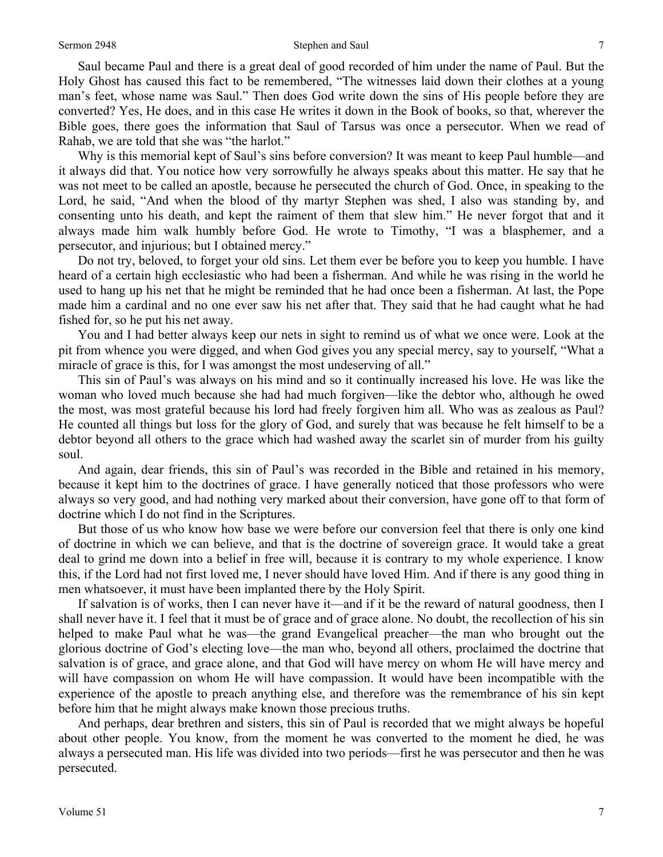#### Sermon 2948 **Stephen and Saul** 7

 Saul became Paul and there is a great deal of good recorded of him under the name of Paul. But the Holy Ghost has caused this fact to be remembered, "The witnesses laid down their clothes at a young man's feet, whose name was Saul." Then does God write down the sins of His people before they are converted? Yes, He does, and in this case He writes it down in the Book of books, so that, wherever the Bible goes, there goes the information that Saul of Tarsus was once a persecutor. When we read of Rahab, we are told that she was "the harlot."

 Why is this memorial kept of Saul's sins before conversion? It was meant to keep Paul humble—and it always did that. You notice how very sorrowfully he always speaks about this matter. He say that he was not meet to be called an apostle, because he persecuted the church of God. Once, in speaking to the Lord, he said, "And when the blood of thy martyr Stephen was shed, I also was standing by, and consenting unto his death, and kept the raiment of them that slew him." He never forgot that and it always made him walk humbly before God. He wrote to Timothy, "I was a blasphemer, and a persecutor, and injurious; but I obtained mercy."

 Do not try, beloved, to forget your old sins. Let them ever be before you to keep you humble. I have heard of a certain high ecclesiastic who had been a fisherman. And while he was rising in the world he used to hang up his net that he might be reminded that he had once been a fisherman. At last, the Pope made him a cardinal and no one ever saw his net after that. They said that he had caught what he had fished for, so he put his net away.

 You and I had better always keep our nets in sight to remind us of what we once were. Look at the pit from whence you were digged, and when God gives you any special mercy, say to yourself, "What a miracle of grace is this, for I was amongst the most undeserving of all."

 This sin of Paul's was always on his mind and so it continually increased his love. He was like the woman who loved much because she had had much forgiven—like the debtor who, although he owed the most, was most grateful because his lord had freely forgiven him all. Who was as zealous as Paul? He counted all things but loss for the glory of God, and surely that was because he felt himself to be a debtor beyond all others to the grace which had washed away the scarlet sin of murder from his guilty soul.

 And again, dear friends, this sin of Paul's was recorded in the Bible and retained in his memory, because it kept him to the doctrines of grace. I have generally noticed that those professors who were always so very good, and had nothing very marked about their conversion, have gone off to that form of doctrine which I do not find in the Scriptures.

 But those of us who know how base we were before our conversion feel that there is only one kind of doctrine in which we can believe, and that is the doctrine of sovereign grace. It would take a great deal to grind me down into a belief in free will, because it is contrary to my whole experience. I know this, if the Lord had not first loved me, I never should have loved Him. And if there is any good thing in men whatsoever, it must have been implanted there by the Holy Spirit.

 If salvation is of works, then I can never have it—and if it be the reward of natural goodness, then I shall never have it. I feel that it must be of grace and of grace alone. No doubt, the recollection of his sin helped to make Paul what he was—the grand Evangelical preacher—the man who brought out the glorious doctrine of God's electing love—the man who, beyond all others, proclaimed the doctrine that salvation is of grace, and grace alone, and that God will have mercy on whom He will have mercy and will have compassion on whom He will have compassion. It would have been incompatible with the experience of the apostle to preach anything else, and therefore was the remembrance of his sin kept before him that he might always make known those precious truths.

 And perhaps, dear brethren and sisters, this sin of Paul is recorded that we might always be hopeful about other people. You know, from the moment he was converted to the moment he died, he was always a persecuted man. His life was divided into two periods—first he was persecutor and then he was persecuted.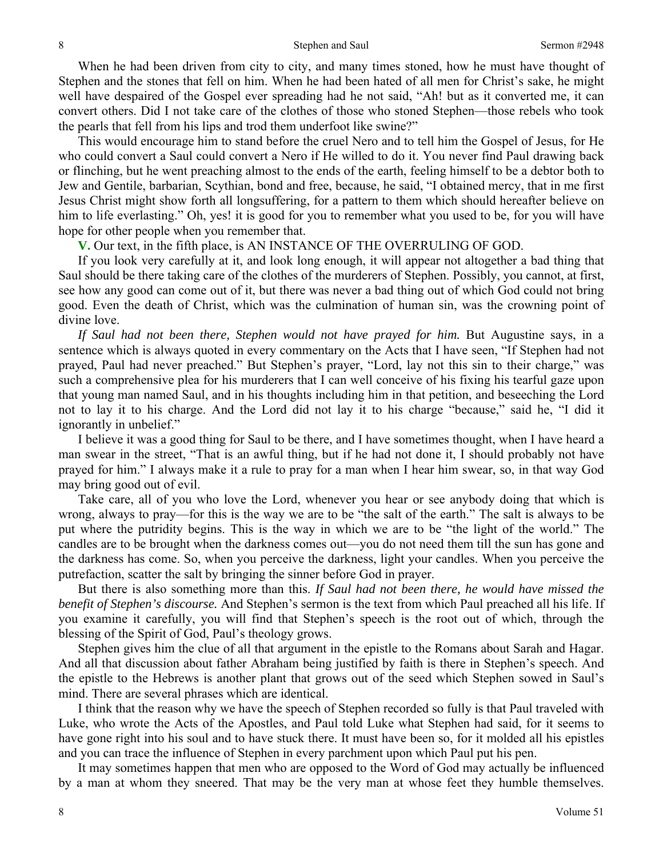When he had been driven from city to city, and many times stoned, how he must have thought of Stephen and the stones that fell on him. When he had been hated of all men for Christ's sake, he might well have despaired of the Gospel ever spreading had he not said, "Ah! but as it converted me, it can convert others. Did I not take care of the clothes of those who stoned Stephen—those rebels who took the pearls that fell from his lips and trod them underfoot like swine?"

 This would encourage him to stand before the cruel Nero and to tell him the Gospel of Jesus, for He who could convert a Saul could convert a Nero if He willed to do it. You never find Paul drawing back or flinching, but he went preaching almost to the ends of the earth, feeling himself to be a debtor both to Jew and Gentile, barbarian, Scythian, bond and free, because, he said, "I obtained mercy, that in me first Jesus Christ might show forth all longsuffering, for a pattern to them which should hereafter believe on him to life everlasting." Oh, yes! it is good for you to remember what you used to be, for you will have hope for other people when you remember that.

**V.** Our text, in the fifth place, is AN INSTANCE OF THE OVERRULING OF GOD.

 If you look very carefully at it, and look long enough, it will appear not altogether a bad thing that Saul should be there taking care of the clothes of the murderers of Stephen. Possibly, you cannot, at first, see how any good can come out of it, but there was never a bad thing out of which God could not bring good. Even the death of Christ, which was the culmination of human sin, was the crowning point of divine love.

If Saul had not been there, Stephen would not have prayed for him. But Augustine says, in a sentence which is always quoted in every commentary on the Acts that I have seen, "If Stephen had not prayed, Paul had never preached." But Stephen's prayer, "Lord, lay not this sin to their charge," was such a comprehensive plea for his murderers that I can well conceive of his fixing his tearful gaze upon that young man named Saul, and in his thoughts including him in that petition, and beseeching the Lord not to lay it to his charge. And the Lord did not lay it to his charge "because," said he, "I did it ignorantly in unbelief."

 I believe it was a good thing for Saul to be there, and I have sometimes thought, when I have heard a man swear in the street, "That is an awful thing, but if he had not done it, I should probably not have prayed for him." I always make it a rule to pray for a man when I hear him swear, so, in that way God may bring good out of evil.

 Take care, all of you who love the Lord, whenever you hear or see anybody doing that which is wrong, always to pray—for this is the way we are to be "the salt of the earth." The salt is always to be put where the putridity begins. This is the way in which we are to be "the light of the world." The candles are to be brought when the darkness comes out—you do not need them till the sun has gone and the darkness has come. So, when you perceive the darkness, light your candles. When you perceive the putrefaction, scatter the salt by bringing the sinner before God in prayer.

 But there is also something more than this. *If Saul had not been there, he would have missed the benefit of Stephen's discourse.* And Stephen's sermon is the text from which Paul preached all his life. If you examine it carefully, you will find that Stephen's speech is the root out of which, through the blessing of the Spirit of God, Paul's theology grows.

 Stephen gives him the clue of all that argument in the epistle to the Romans about Sarah and Hagar. And all that discussion about father Abraham being justified by faith is there in Stephen's speech. And the epistle to the Hebrews is another plant that grows out of the seed which Stephen sowed in Saul's mind. There are several phrases which are identical.

 I think that the reason why we have the speech of Stephen recorded so fully is that Paul traveled with Luke, who wrote the Acts of the Apostles, and Paul told Luke what Stephen had said, for it seems to have gone right into his soul and to have stuck there. It must have been so, for it molded all his epistles and you can trace the influence of Stephen in every parchment upon which Paul put his pen.

 It may sometimes happen that men who are opposed to the Word of God may actually be influenced by a man at whom they sneered. That may be the very man at whose feet they humble themselves.